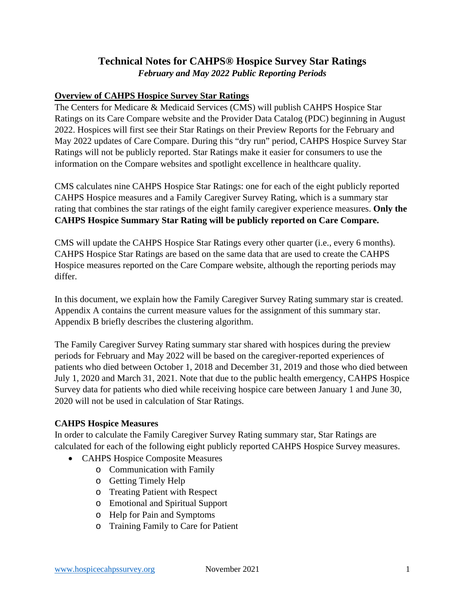# **Technical Notes for CAHPS® Hospice Survey Star Ratings** *February and May 2022 Public Reporting Periods*

#### **Overview of CAHPS Hospice Survey Star Ratings**

The Centers for Medicare & Medicaid Services (CMS) will publish CAHPS Hospice Star Ratings on its Care Compare website and the Provider Data Catalog (PDC) beginning in August 2022. Hospices will first see their Star Ratings on their Preview Reports for the February and May 2022 updates of Care Compare. During this "dry run" period, CAHPS Hospice Survey Star Ratings will not be publicly reported. Star Ratings make it easier for consumers to use the information on the Compare websites and spotlight excellence in healthcare quality.

CMS calculates nine CAHPS Hospice Star Ratings: one for each of the eight publicly reported CAHPS Hospice measures and a Family Caregiver Survey Rating, which is a summary star rating that combines the star ratings of the eight family caregiver experience measures. **Only the CAHPS Hospice Summary Star Rating will be publicly reported on Care Compare.**

CMS will update the CAHPS Hospice Star Ratings every other quarter (i.e., every 6 months). CAHPS Hospice Star Ratings are based on the same data that are used to create the CAHPS Hospice measures reported on the Care Compare website, although the reporting periods may differ.

In this document, we explain how the Family Caregiver Survey Rating summary star is created. Appendix A contains the current measure values for the assignment of this summary star. Appendix B briefly describes the clustering algorithm.

The Family Caregiver Survey Rating summary star shared with hospices during the preview periods for February and May 2022 will be based on the caregiver-reported experiences of patients who died between October 1, 2018 and December 31, 2019 and those who died between July 1, 2020 and March 31, 2021. Note that due to the public health emergency, CAHPS Hospice Survey data for patients who died while receiving hospice care between January 1 and June 30, 2020 will not be used in calculation of Star Ratings.

#### **CAHPS Hospice Measures**

In order to calculate the Family Caregiver Survey Rating summary star, Star Ratings are calculated for each of the following eight publicly reported CAHPS Hospice Survey measures.

- CAHPS Hospice Composite Measures
	- o Communication with Family
	- o Getting Timely Help
	- o Treating Patient with Respect
	- o Emotional and Spiritual Support
	- o Help for Pain and Symptoms
	- o Training Family to Care for Patient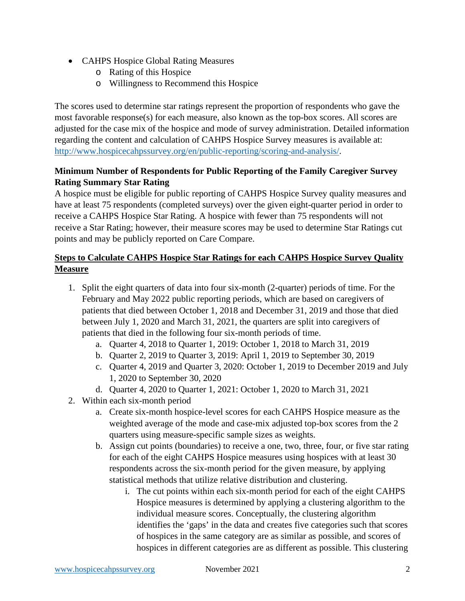- CAHPS Hospice Global Rating Measures
	- o Rating of this Hospice
	- o Willingness to Recommend this Hospice

The scores used to determine star ratings represent the proportion of respondents who gave the most favorable response(s) for each measure, also known as the top-box scores. All scores are adjusted for the case mix of the hospice and mode of survey administration. Detailed information regarding the content and calculation of CAHPS Hospice Survey measures is available at: [http://www.hospicecahpssurvey.org/en/public-reporting/scoring-and-analysis/.](http://www.hospicecahpssurvey.org/en/public-reporting/scoring-and-analysis/)

#### **Minimum Number of Respondents for Public Reporting of the Family Caregiver Survey Rating Summary Star Rating**

A hospice must be eligible for public reporting of CAHPS Hospice Survey quality measures and have at least 75 respondents (completed surveys) over the given eight-quarter period in order to receive a CAHPS Hospice Star Rating. A hospice with fewer than 75 respondents will not receive a Star Rating; however, their measure scores may be used to determine Star Ratings cut points and may be publicly reported on Care Compare.

## **Steps to Calculate CAHPS Hospice Star Ratings for each CAHPS Hospice Survey Quality Measure**

- 1. Split the eight quarters of data into four six-month (2-quarter) periods of time. For the February and May 2022 public reporting periods, which are based on caregivers of patients that died between October 1, 2018 and December 31, 2019 and those that died between July 1, 2020 and March 31, 2021, the quarters are split into caregivers of patients that died in the following four six-month periods of time.
	- a. Quarter 4, 2018 to Quarter 1, 2019: October 1, 2018 to March 31, 2019
	- b. Quarter 2, 2019 to Quarter 3, 2019: April 1, 2019 to September 30, 2019
	- c. Quarter 4, 2019 and Quarter 3, 2020: October 1, 2019 to December 2019 and July 1, 2020 to September 30, 2020
	- d. Quarter 4, 2020 to Quarter 1, 2021: October 1, 2020 to March 31, 2021
- 2. Within each six-month period
	- a. Create six-month hospice-level scores for each CAHPS Hospice measure as the weighted average of the mode and case-mix adjusted top-box scores from the 2 quarters using measure-specific sample sizes as weights.
	- b. Assign cut points (boundaries) to receive a one, two, three, four, or five star rating for each of the eight CAHPS Hospice measures using hospices with at least 30 respondents across the six-month period for the given measure, by applying statistical methods that utilize relative distribution and clustering.
		- i. The cut points within each six-month period for each of the eight CAHPS Hospice measures is determined by applying a clustering algorithm to the individual measure scores. Conceptually, the clustering algorithm identifies the 'gaps' in the data and creates five categories such that scores of hospices in the same category are as similar as possible, and scores of hospices in different categories are as different as possible. This clustering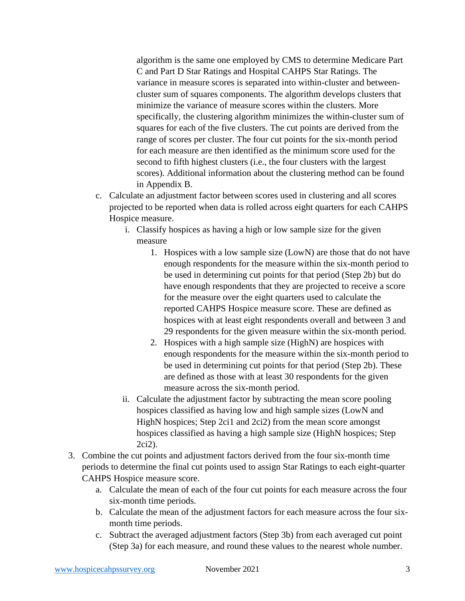algorithm is the same one employed by CMS to determine Medicare Part C and Part D Star Ratings and Hospital CAHPS Star Ratings. The variance in measure scores is separated into within-cluster and betweencluster sum of squares components. The algorithm develops clusters that minimize the variance of measure scores within the clusters. More specifically, the clustering algorithm minimizes the within-cluster sum of squares for each of the five clusters. The cut points are derived from the range of scores per cluster. The four cut points for the six-month period for each measure are then identified as the minimum score used for the second to fifth highest clusters (i.e., the four clusters with the largest scores). Additional information about the clustering method can be found in Appendix B.

- c. Calculate an adjustment factor between scores used in clustering and all scores projected to be reported when data is rolled across eight quarters for each CAHPS Hospice measure.
	- i. Classify hospices as having a high or low sample size for the given measure
		- 1. Hospices with a low sample size (LowN) are those that do not have enough respondents for the measure within the six-month period to be used in determining cut points for that period (Step 2b) but do have enough respondents that they are projected to receive a score for the measure over the eight quarters used to calculate the reported CAHPS Hospice measure score. These are defined as hospices with at least eight respondents overall and between 3 and 29 respondents for the given measure within the six-month period.
		- 2. Hospices with a high sample size (HighN) are hospices with enough respondents for the measure within the six-month period to be used in determining cut points for that period (Step 2b). These are defined as those with at least 30 respondents for the given measure across the six-month period.
	- ii. Calculate the adjustment factor by subtracting the mean score pooling hospices classified as having low and high sample sizes (LowN and HighN hospices; Step 2ci1 and 2ci2) from the mean score amongst hospices classified as having a high sample size (HighN hospices; Step 2ci2).
- 3. Combine the cut points and adjustment factors derived from the four six-month time periods to determine the final cut points used to assign Star Ratings to each eight-quarter CAHPS Hospice measure score.
	- a. Calculate the mean of each of the four cut points for each measure across the four six-month time periods.
	- b. Calculate the mean of the adjustment factors for each measure across the four sixmonth time periods.
	- c. Subtract the averaged adjustment factors (Step 3b) from each averaged cut point (Step 3a) for each measure, and round these values to the nearest whole number.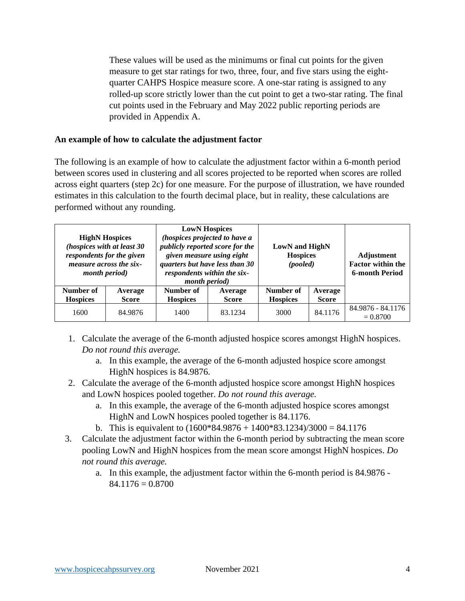These values will be used as the minimums or final cut points for the given measure to get star ratings for two, three, four, and five stars using the eightquarter CAHPS Hospice measure score. A one-star rating is assigned to any rolled-up score strictly lower than the cut point to get a two-star rating. The final cut points used in the February and May 2022 public reporting periods are provided in Appendix A.

#### **An example of how to calculate the adjustment factor**

The following is an example of how to calculate the adjustment factor within a 6-month period between scores used in clustering and all scores projected to be reported when scores are rolled across eight quarters (step 2c) for one measure. For the purpose of illustration, we have rounded estimates in this calculation to the fourth decimal place, but in reality, these calculations are performed without any rounding.

| <b>HighN Hospices</b><br>(hospices with at least 30<br>respondents for the given<br>measure across the six-<br><i>month period</i> ) |                         | <i>month period</i> )        | <b>LowN</b> Hospices<br>(hospices projected to have a<br>publicly reported score for the<br>given measure using eight<br>quarters but have less than 30<br>respondents within the six- |                              | <b>LowN</b> and <b>HighN</b><br><b>Hospices</b><br>(pooled) |                                 |
|--------------------------------------------------------------------------------------------------------------------------------------|-------------------------|------------------------------|----------------------------------------------------------------------------------------------------------------------------------------------------------------------------------------|------------------------------|-------------------------------------------------------------|---------------------------------|
| Number of<br><b>Hospices</b>                                                                                                         | Average<br><b>Score</b> | Number of<br><b>Hospices</b> | Average<br><b>Score</b>                                                                                                                                                                | Number of<br><b>Hospices</b> | Average<br><b>Score</b>                                     |                                 |
| 1600                                                                                                                                 | 84.9876                 | 1400                         | 83.1234                                                                                                                                                                                | 3000                         | 84.1176                                                     | 84.9876 - 84.1176<br>$= 0.8700$ |

- 1. Calculate the average of the 6-month adjusted hospice scores amongst HighN hospices. *Do not round this average.*
	- a. In this example, the average of the 6-month adjusted hospice score amongst HighN hospices is 84.9876.
- 2. Calculate the average of the 6-month adjusted hospice score amongst HighN hospices and LowN hospices pooled together. *Do not round this average.*
	- a. In this example, the average of the 6-month adjusted hospice scores amongst HighN and LowN hospices pooled together is 84.1176.
	- b. This is equivalent to  $(1600*84.9876 + 1400*83.1234)/3000 = 84.1176$
- 3. Calculate the adjustment factor within the 6-month period by subtracting the mean score pooling LowN and HighN hospices from the mean score amongst HighN hospices. *Do not round this average.*
	- a. In this example, the adjustment factor within the 6-month period is 84.9876  $84.1176 = 0.8700$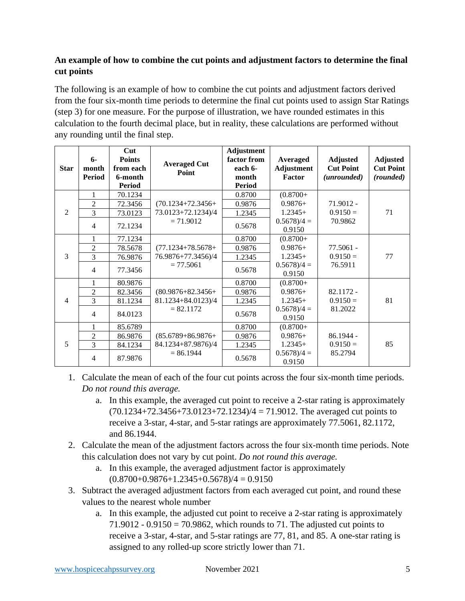## **An example of how to combine the cut points and adjustment factors to determine the final cut points**

The following is an example of how to combine the cut points and adjustment factors derived from the four six-month time periods to determine the final cut points used to assign Star Ratings (step 3) for one measure. For the purpose of illustration, we have rounded estimates in this calculation to the fourth decimal place, but in reality, these calculations are performed without any rounding until the final step.

| <b>Star</b>    | $6-$<br>month<br><b>Period</b> | Cut<br><b>Points</b><br>from each<br>6-month<br><b>Period</b> | <b>Averaged Cut</b><br>Point | <b>Adjustment</b><br>factor from<br>each 6-<br>month<br><b>Period</b> | Averaged<br><b>Adjustment</b><br>Factor | <b>Adjusted</b><br><b>Cut Point</b><br>(unrounded) | <b>Adjusted</b><br><b>Cut Point</b><br>(rounded) |
|----------------|--------------------------------|---------------------------------------------------------------|------------------------------|-----------------------------------------------------------------------|-----------------------------------------|----------------------------------------------------|--------------------------------------------------|
|                | 1                              | 70.1234                                                       |                              | 0.8700                                                                | $(0.8700 +$                             |                                                    |                                                  |
|                | $\overline{c}$                 | 72.3456                                                       | $(70.1234 + 72.3456 +$       | 0.9876                                                                | $0.9876+$                               | $71.9012 -$                                        |                                                  |
| 2              | 3                              | 73.0123                                                       | 73.0123+72.1234)/4           | 1.2345                                                                | $1.2345+$                               | $0.9150 =$                                         | 71                                               |
|                | $\overline{4}$                 | 72.1234                                                       | $= 71.9012$                  | 0.5678                                                                | $0.5678/4 =$<br>0.9150                  | 70.9862                                            |                                                  |
|                | $\mathbf{1}$                   | 77.1234                                                       |                              | 0.8700                                                                | $(0.8700 +$                             |                                                    |                                                  |
|                | $\overline{c}$                 | 78.5678                                                       | $(77.1234 + 78.5678 +$       | 0.9876                                                                | $0.9876+$                               | 77.5061 -                                          |                                                  |
| 3              | 3                              | 76.9876                                                       | 76.9876+77.3456)/4           | 1.2345                                                                | $1.2345+$                               | $0.9150 =$                                         | 77                                               |
|                | $\overline{4}$                 | 77.3456                                                       | $= 77.5061$                  | 0.5678                                                                | $0.5678/4 =$<br>0.9150                  | 76.5911                                            |                                                  |
|                | $\mathbf{1}$                   | 80.9876                                                       |                              | 0.8700                                                                | $(0.8700 +$                             |                                                    |                                                  |
|                | $\overline{2}$                 | 82.3456                                                       | $(80.9876 + 82.3456 +$       | 0.9876                                                                | $0.9876+$                               | 82.1172 -                                          |                                                  |
| $\overline{4}$ | $\overline{3}$                 | 81.1234                                                       | 81.1234+84.0123)/4           | 1.2345                                                                | $1.2345+$                               | $0.9150 =$                                         | 81                                               |
|                | $\overline{4}$                 | 84.0123                                                       | $= 82.1172$                  | 0.5678                                                                | $0.5678/4 =$<br>0.9150                  | 81.2022                                            |                                                  |
|                | 1                              | 85.6789                                                       |                              | 0.8700                                                                | $(0.8700 +$                             |                                                    |                                                  |
|                | $\overline{c}$                 | 86.9876                                                       | $(85.6789 + 86.9876 +$       | 0.9876                                                                | $0.9876+$                               | $86.1944 -$                                        |                                                  |
| 5              | $\overline{3}$                 | 84.1234                                                       | 84.1234+87.9876)/4           | 1.2345                                                                | $1.2345+$                               | $0.9150 =$                                         | 85                                               |
|                | $\overline{4}$                 | 87.9876                                                       | $= 86.1944$                  | 0.5678                                                                | $0.5678/4 =$<br>0.9150                  | 85.2794                                            |                                                  |

- 1. Calculate the mean of each of the four cut points across the four six-month time periods. *Do not round this average.*
	- a. In this example, the averaged cut point to receive a 2-star rating is approximately  $(70.1234 + 72.3456 + 73.0123 + 72.1234)/4 = 71.9012$ . The averaged cut points to receive a 3-star, 4-star, and 5-star ratings are approximately 77.5061, 82.1172, and 86.1944.
- 2. Calculate the mean of the adjustment factors across the four six-month time periods. Note this calculation does not vary by cut point. *Do not round this average.*
	- a. In this example, the averaged adjustment factor is approximately  $(0.8700+0.9876+1.2345+0.5678)/4=0.9150$
- 3. Subtract the averaged adjustment factors from each averaged cut point, and round these values to the nearest whole number
	- a. In this example, the adjusted cut point to receive a 2-star rating is approximately  $71.9012 - 0.9150 = 70.9862$ , which rounds to 71. The adjusted cut points to receive a 3-star, 4-star, and 5-star ratings are 77, 81, and 85. A one-star rating is assigned to any rolled-up score strictly lower than 71.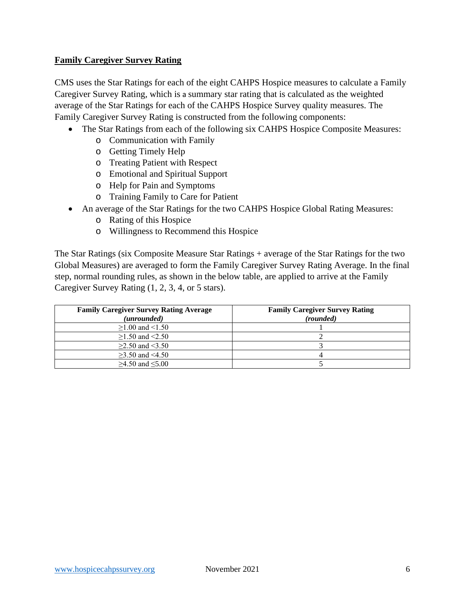#### **Family Caregiver Survey Rating**

CMS uses the Star Ratings for each of the eight CAHPS Hospice measures to calculate a Family Caregiver Survey Rating, which is a summary star rating that is calculated as the weighted average of the Star Ratings for each of the CAHPS Hospice Survey quality measures. The Family Caregiver Survey Rating is constructed from the following components:

- The Star Ratings from each of the following six CAHPS Hospice Composite Measures:
	- o Communication with Family
	- o Getting Timely Help
	- o Treating Patient with Respect
	- o Emotional and Spiritual Support
	- o Help for Pain and Symptoms
	- o Training Family to Care for Patient
- An average of the Star Ratings for the two CAHPS Hospice Global Rating Measures:
	- o Rating of this Hospice
	- o Willingness to Recommend this Hospice

The Star Ratings (six Composite Measure Star Ratings + average of the Star Ratings for the two Global Measures) are averaged to form the Family Caregiver Survey Rating Average. In the final step, normal rounding rules, as shown in the below table, are applied to arrive at the Family Caregiver Survey Rating (1, 2, 3, 4, or 5 stars).

| <b>Family Caregiver Survey Rating Average</b><br>(unrounded) | <b>Family Caregiver Survey Rating</b><br>(rounded) |
|--------------------------------------------------------------|----------------------------------------------------|
| $\geq$ 1.00 and <1.50                                        |                                                    |
| $>1.50$ and $< 2.50$                                         |                                                    |
| $\geq$ 2.50 and <3.50                                        |                                                    |
| $>3.50$ and $<4.50$                                          |                                                    |
| $≥4.50$ and ≤5.00                                            |                                                    |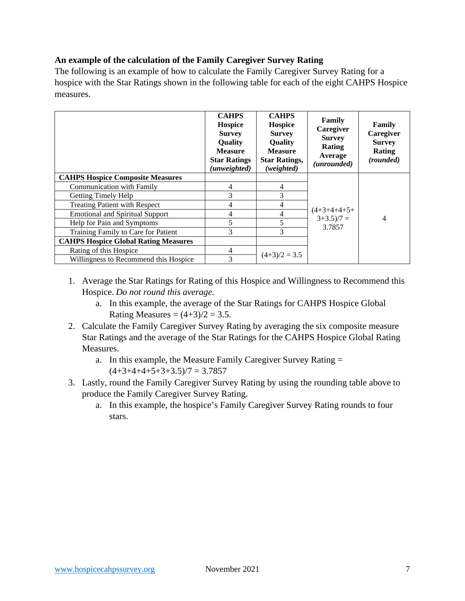#### **An example of the calculation of the Family Caregiver Survey Rating**

The following is an example of how to calculate the Family Caregiver Survey Rating for a hospice with the Star Ratings shown in the following table for each of the eight CAHPS Hospice measures.

|                                             | <b>CAHPS</b><br><b>Hospice</b><br><b>Survey</b><br><b>Ouality</b><br><b>Measure</b><br><b>Star Ratings</b><br>(unweighted) | <b>CAHPS</b><br><b>Hospice</b><br><b>Survey</b><br>Quality<br><b>Measure</b><br><b>Star Ratings,</b><br>(weighted) | Family<br>Caregiver<br><b>Survey</b><br>Rating<br>Average<br>(unrounded) | Family<br>Caregiver<br><b>Survey</b><br>Rating<br>(rounded) |
|---------------------------------------------|----------------------------------------------------------------------------------------------------------------------------|--------------------------------------------------------------------------------------------------------------------|--------------------------------------------------------------------------|-------------------------------------------------------------|
| <b>CAHPS Hospice Composite Measures</b>     |                                                                                                                            |                                                                                                                    |                                                                          | 4                                                           |
| <b>Communication with Family</b>            | 4                                                                                                                          | 4                                                                                                                  |                                                                          |                                                             |
| Getting Timely Help                         | 3                                                                                                                          | 3                                                                                                                  |                                                                          |                                                             |
| <b>Treating Patient with Respect</b>        | 4                                                                                                                          | 4                                                                                                                  |                                                                          |                                                             |
| <b>Emotional and Spiritual Support</b>      | 4                                                                                                                          | 4                                                                                                                  | $(4+3+4+4+5+$<br>$3+3.5)/7 =$                                            |                                                             |
| Help for Pain and Symptoms                  | 5                                                                                                                          | 5                                                                                                                  | 3.7857                                                                   |                                                             |
| Training Family to Care for Patient         | 3                                                                                                                          | 3                                                                                                                  |                                                                          |                                                             |
| <b>CAHPS Hospice Global Rating Measures</b> |                                                                                                                            |                                                                                                                    |                                                                          |                                                             |
| Rating of this Hospice                      | 4                                                                                                                          |                                                                                                                    |                                                                          |                                                             |
| Willingness to Recommend this Hospice       | 3                                                                                                                          | $(4+3)/2 = 3.5$                                                                                                    |                                                                          |                                                             |

- 1. Average the Star Ratings for Rating of this Hospice and Willingness to Recommend this Hospice. *Do not round this average.*
	- a. In this example, the average of the Star Ratings for CAHPS Hospice Global Rating Measures =  $(4+3)/2 = 3.5$ .
- 2. Calculate the Family Caregiver Survey Rating by averaging the six composite measure Star Ratings and the average of the Star Ratings for the CAHPS Hospice Global Rating Measures.
	- a. In this example, the Measure Family Caregiver Survey Rating =  $(4+3+4+4+5+3+3.5)/7 = 3.7857$
- 3. Lastly, round the Family Caregiver Survey Rating by using the rounding table above to produce the Family Caregiver Survey Rating.
	- a. In this example, the hospice's Family Caregiver Survey Rating rounds to four stars.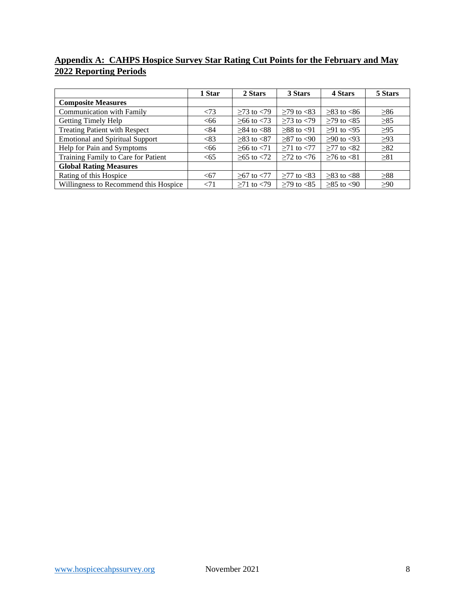## **Appendix A: CAHPS Hospice Survey Star Rating Cut Points for the February and May 2022 Reporting Periods**

|                                        | 1 Star | 2 Stars                | 3 Stars               | 4 Stars          | 5 Stars   |
|----------------------------------------|--------|------------------------|-----------------------|------------------|-----------|
| <b>Composite Measures</b>              |        |                        |                       |                  |           |
| <b>Communication with Family</b>       | < 73   | $>73$ to $< 79$        | $≥79$ to $≤83$        | $\geq$ 83 to <86 | >86       |
| Getting Timely Help                    | <66    | $≥ 66$ to <73          | $\geq$ 73 to $\lt$ 79 | $≥79$ to $< 85$  | $\geq 85$ |
| <b>Treating Patient with Respect</b>   | < 84   | $\geq$ 84 to <88       | $>88$ to $< 91$       | $\geq$ 91 to <95 | $\geq$ 95 |
| <b>Emotional and Spiritual Support</b> | < 83   | $\geq$ 83 to <87       | $≥87$ to <90          | $>90$ to $< 93$  | $\geq$ 93 |
| Help for Pain and Symptoms             | <66    | $>66$ to $< 71$        | $\geq$ 71 to $\lt$ 77 | $>77$ to $< 82$  | >82       |
| Training Family to Care for Patient    | <65    | $\geq 65$ to $\leq 72$ | $>72$ to $< 76$       | $≥76$ to $≤81$   | $\geq 81$ |
| <b>Global Rating Measures</b>          |        |                        |                       |                  |           |
| Rating of this Hospice                 | <67    | $>67$ to $< 77$        | $\geq$ 77 to <83      | $>83$ to $< 88$  | >88       |
| Willingness to Recommend this Hospice  | < 71   | $>71$ to $< 79$        | $>79$ to $< 85$       | $>85$ to $< 90$  | >90       |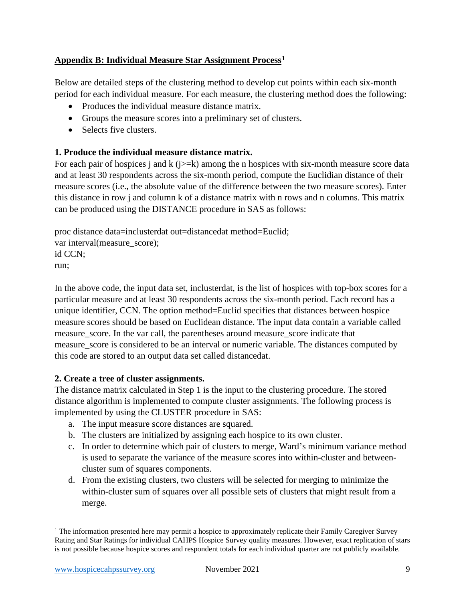## **Appendix B: Individual Measure Star Assignment Process[1](#page-8-0)**

Below are detailed steps of the clustering method to develop cut points within each six-month period for each individual measure. For each measure, the clustering method does the following:

- Produces the individual measure distance matrix.
- Groups the measure scores into a preliminary set of clusters.
- Selects five clusters.

#### **1. Produce the individual measure distance matrix.**

For each pair of hospices j and k ( $j>=k$ ) among the n hospices with six-month measure score data and at least 30 respondents across the six-month period, compute the Euclidian distance of their measure scores (i.e., the absolute value of the difference between the two measure scores). Enter this distance in row j and column k of a distance matrix with n rows and n columns. This matrix can be produced using the DISTANCE procedure in SAS as follows:

proc distance data=inclusterdat out=distancedat method=Euclid; var interval(measure\_score); id CCN; run;

In the above code, the input data set, inclusterdat, is the list of hospices with top-box scores for a particular measure and at least 30 respondents across the six-month period. Each record has a unique identifier, CCN. The option method=Euclid specifies that distances between hospice measure scores should be based on Euclidean distance. The input data contain a variable called measure\_score. In the var call, the parentheses around measure\_score indicate that measure\_score is considered to be an interval or numeric variable. The distances computed by this code are stored to an output data set called distancedat.

#### **2. Create a tree of cluster assignments.**

The distance matrix calculated in Step 1 is the input to the clustering procedure. The stored distance algorithm is implemented to compute cluster assignments. The following process is implemented by using the CLUSTER procedure in SAS:

- a. The input measure score distances are squared.
- b. The clusters are initialized by assigning each hospice to its own cluster.
- c. In order to determine which pair of clusters to merge, Ward's minimum variance method is used to separate the variance of the measure scores into within-cluster and betweencluster sum of squares components.
- d. From the existing clusters, two clusters will be selected for merging to minimize the within-cluster sum of squares over all possible sets of clusters that might result from a merge.

<span id="page-8-0"></span><sup>&</sup>lt;sup>1</sup> The information presented here may permit a hospice to approximately replicate their Family Caregiver Survey Rating and Star Ratings for individual CAHPS Hospice Survey quality measures. However, exact replication of stars is not possible because hospice scores and respondent totals for each individual quarter are not publicly available.